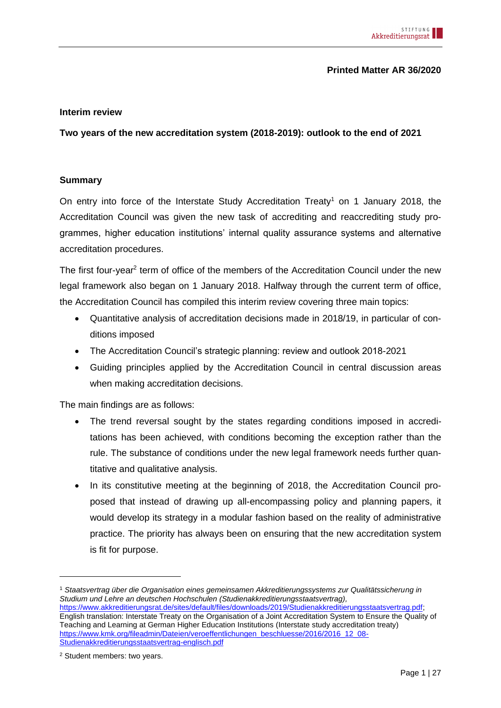### **Printed Matter AR 36/2020**

#### **Interim review**

**Two years of the new accreditation system (2018-2019): outlook to the end of 2021**

### <span id="page-0-0"></span>**Summary**

On entry into force of the Interstate Study Accreditation Treaty<sup>1</sup> on 1 January 2018, the Accreditation Council was given the new task of accrediting and reaccrediting study programmes, higher education institutions' internal quality assurance systems and alternative accreditation procedures.

The first four-year<sup>2</sup> term of office of the members of the Accreditation Council under the new legal framework also began on 1 January 2018. Halfway through the current term of office, the Accreditation Council has compiled this interim review covering three main topics:

- Quantitative analysis of accreditation decisions made in 2018/19, in particular of conditions imposed
- The Accreditation Council's strategic planning: review and outlook 2018-2021
- Guiding principles applied by the Accreditation Council in central discussion areas when making accreditation decisions.

The main findings are as follows:

- The trend reversal sought by the states regarding conditions imposed in accreditations has been achieved, with conditions becoming the exception rather than the rule. The substance of conditions under the new legal framework needs further quantitative and qualitative analysis.
- In its constitutive meeting at the beginning of 2018, the Accreditation Council proposed that instead of drawing up all-encompassing policy and planning papers, it would develop its strategy in a modular fashion based on the reality of administrative practice. The priority has always been on ensuring that the new accreditation system is fit for purpose.

<sup>1</sup> *Staatsvertrag über die Organisation eines gemeinsamen Akkreditierungssystems zur Qualitätssicherung in Studium und Lehre an deutschen Hochschulen (Studienakkreditierungsstaatsvertrag),* [https://www.akkreditierungsrat.de/sites/default/files/downloads/2019/Studienakkreditierungsstaatsvertrag.pdf;](https://www.akkreditierungsrat.de/sites/default/files/downloads/2019/Studienakkreditierungsstaatsvertrag.pdf) English translation: Interstate Treaty on the Organisation of a Joint Accreditation System to Ensure the Quality of Teaching and Learning at German Higher Education Institutions (Interstate study accreditation treaty) [https://www.kmk.org/fileadmin/Dateien/veroeffentlichungen\\_beschluesse/2016/2016\\_12\\_08-](https://www.kmk.org/fileadmin/Dateien/veroeffentlichungen_beschluesse/2016/2016_12_08-Studienakkreditierungsstaatsvertrag-englisch.pdf) [Studienakkreditierungsstaatsvertrag-englisch.pdf](https://www.kmk.org/fileadmin/Dateien/veroeffentlichungen_beschluesse/2016/2016_12_08-Studienakkreditierungsstaatsvertrag-englisch.pdf)

<sup>2</sup> Student members: two years.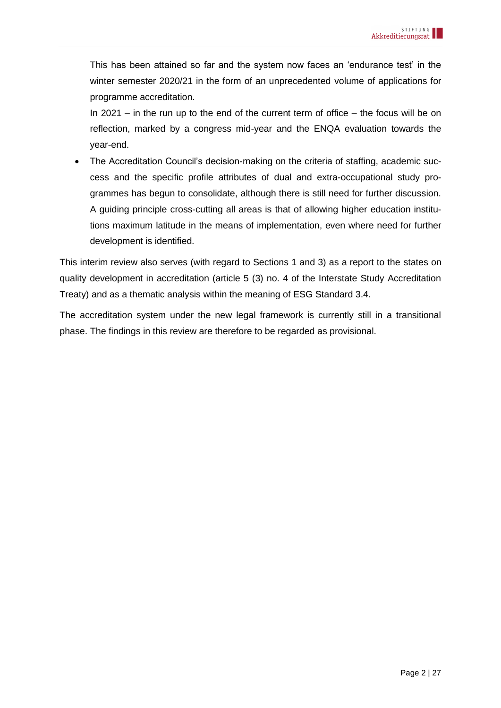This has been attained so far and the system now faces an 'endurance test' in the winter semester 2020/21 in the form of an unprecedented volume of applications for programme accreditation.

In 2021 – in the run up to the end of the current term of office – the focus will be on reflection, marked by a congress mid-year and the ENQA evaluation towards the year-end.

• The Accreditation Council's decision-making on the criteria of staffing, academic success and the specific profile attributes of dual and extra-occupational study programmes has begun to consolidate, although there is still need for further discussion. A guiding principle cross-cutting all areas is that of allowing higher education institutions maximum latitude in the means of implementation, even where need for further development is identified.

This interim review also serves (with regard to Sections 1 and 3) as a report to the states on quality development in accreditation (article 5 (3) no. 4 of the Interstate Study Accreditation Treaty) and as a thematic analysis within the meaning of ESG Standard 3.4.

The accreditation system under the new legal framework is currently still in a transitional phase. The findings in this review are therefore to be regarded as provisional.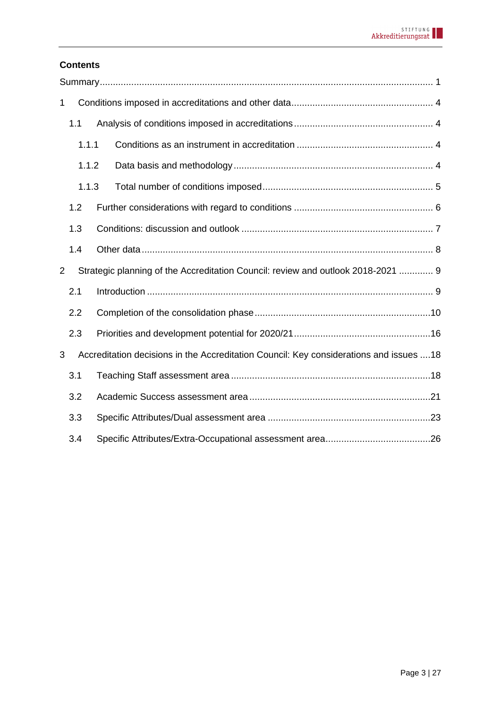# **Contents**

| 1 |       |                                                                                         |  |
|---|-------|-----------------------------------------------------------------------------------------|--|
|   | 1.1   |                                                                                         |  |
|   | 1.1.1 |                                                                                         |  |
|   | 1.1.2 |                                                                                         |  |
|   | 1.1.3 |                                                                                         |  |
|   | 1.2   |                                                                                         |  |
|   | 1.3   |                                                                                         |  |
|   | 1.4   |                                                                                         |  |
| 2 |       | Strategic planning of the Accreditation Council: review and outlook 2018-2021  9        |  |
|   | 2.1   |                                                                                         |  |
|   | 2.2   |                                                                                         |  |
|   | 2.3   |                                                                                         |  |
| 3 |       | Accreditation decisions in the Accreditation Council: Key considerations and issues  18 |  |
|   | 3.1   |                                                                                         |  |
|   | 3.2   |                                                                                         |  |
|   | 3.3   |                                                                                         |  |
|   | 3.4   |                                                                                         |  |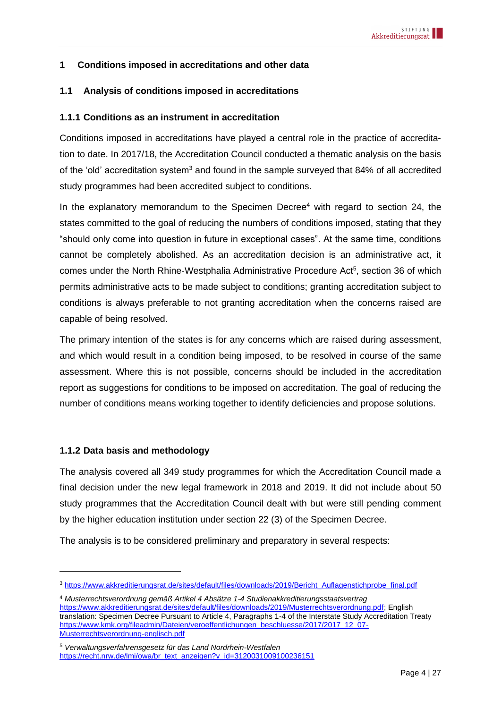# <span id="page-3-0"></span>**1 Conditions imposed in accreditations and other data**

### <span id="page-3-1"></span>**1.1 Analysis of conditions imposed in accreditations**

### <span id="page-3-2"></span>**1.1.1 Conditions as an instrument in accreditation**

Conditions imposed in accreditations have played a central role in the practice of accreditation to date. In 2017/18, the Accreditation Council conducted a thematic analysis on the basis of the 'old' accreditation system<sup>3</sup> and found in the sample surveyed that 84% of all accredited study programmes had been accredited subject to conditions.

In the explanatory memorandum to the Specimen Decree<sup>4</sup> with regard to section 24, the states committed to the goal of reducing the numbers of conditions imposed, stating that they "should only come into question in future in exceptional cases". At the same time, conditions cannot be completely abolished. As an accreditation decision is an administrative act, it comes under the North Rhine-Westphalia Administrative Procedure Act<sup>5</sup>, section 36 of which permits administrative acts to be made subject to conditions; granting accreditation subject to conditions is always preferable to not granting accreditation when the concerns raised are capable of being resolved.

The primary intention of the states is for any concerns which are raised during assessment, and which would result in a condition being imposed, to be resolved in course of the same assessment. Where this is not possible, concerns should be included in the accreditation report as suggestions for conditions to be imposed on accreditation. The goal of reducing the number of conditions means working together to identify deficiencies and propose solutions.

#### <span id="page-3-3"></span>**1.1.2 Data basis and methodology**

The analysis covered all 349 study programmes for which the Accreditation Council made a final decision under the new legal framework in 2018 and 2019. It did not include about 50 study programmes that the Accreditation Council dealt with but were still pending comment by the higher education institution under section 22 (3) of the Specimen Decree.

The analysis is to be considered preliminary and preparatory in several respects:

<sup>3</sup> [https://www.akkreditierungsrat.de/sites/default/files/downloads/2019/Bericht\\_Auflagenstichprobe\\_final.pdf](https://www.akkreditierungsrat.de/sites/default/files/downloads/2019/Bericht_Auflagenstichprobe_final.pdf)

<sup>4</sup> *Musterrechtsverordnung gemäß Artikel 4 Absätze 1-4 Studienakkreditierungsstaatsvertrag* [https://www.akkreditierungsrat.de/sites/default/files/downloads/2019/Musterrechtsverordnung.pdf;](https://www.akkreditierungsrat.de/sites/default/files/downloads/2019/Musterrechtsverordnung.pdf) English translation: Specimen Decree Pursuant to Article 4, Paragraphs 1-4 of the Interstate Study Accreditation Treaty [https://www.kmk.org/fileadmin/Dateien/veroeffentlichungen\\_beschluesse/2017/2017\\_12\\_07-](https://www.kmk.org/fileadmin/Dateien/veroeffentlichungen_beschluesse/2017/2017_12_07-Musterrechtsverordnung-englisch.pdf) [Musterrechtsverordnung-englisch.pdf](https://www.kmk.org/fileadmin/Dateien/veroeffentlichungen_beschluesse/2017/2017_12_07-Musterrechtsverordnung-englisch.pdf)

<sup>5</sup> *Verwaltungsverfahrensgesetz für das Land Nordrhein-Westfalen* [https://recht.nrw.de/lmi/owa/br\\_text\\_anzeigen?v\\_id=3120031009100236151](https://recht.nrw.de/lmi/owa/br_text_anzeigen?v_id=3120031009100236151)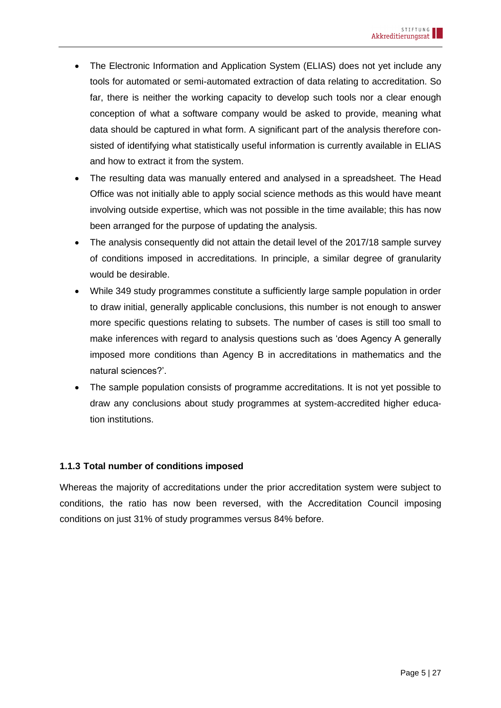- The Electronic Information and Application System (ELIAS) does not yet include any tools for automated or semi-automated extraction of data relating to accreditation. So far, there is neither the working capacity to develop such tools nor a clear enough conception of what a software company would be asked to provide, meaning what data should be captured in what form. A significant part of the analysis therefore consisted of identifying what statistically useful information is currently available in ELIAS and how to extract it from the system.
- The resulting data was manually entered and analysed in a spreadsheet. The Head Office was not initially able to apply social science methods as this would have meant involving outside expertise, which was not possible in the time available; this has now been arranged for the purpose of updating the analysis.
- The analysis consequently did not attain the detail level of the 2017/18 sample survey of conditions imposed in accreditations. In principle, a similar degree of granularity would be desirable.
- While 349 study programmes constitute a sufficiently large sample population in order to draw initial, generally applicable conclusions, this number is not enough to answer more specific questions relating to subsets. The number of cases is still too small to make inferences with regard to analysis questions such as 'does Agency A generally imposed more conditions than Agency B in accreditations in mathematics and the natural sciences?'.
- The sample population consists of programme accreditations. It is not yet possible to draw any conclusions about study programmes at system-accredited higher education institutions.

# <span id="page-4-0"></span>**1.1.3 Total number of conditions imposed**

Whereas the majority of accreditations under the prior accreditation system were subject to conditions, the ratio has now been reversed, with the Accreditation Council imposing conditions on just 31% of study programmes versus 84% before.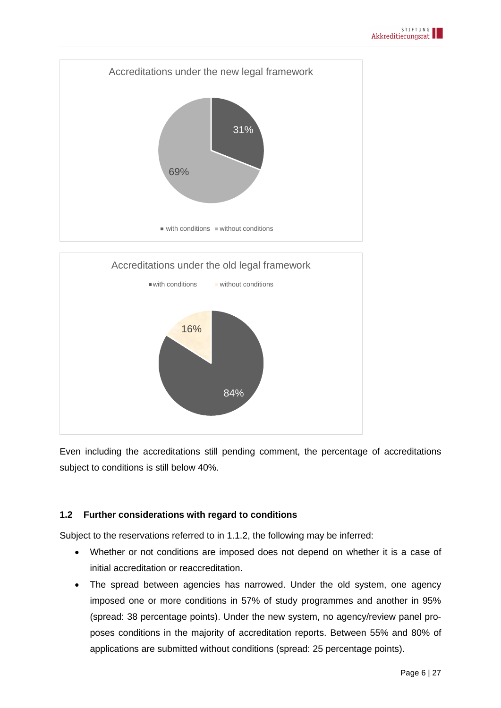



Even including the accreditations still pending comment, the percentage of accreditations subject to conditions is still below 40%.

# <span id="page-5-0"></span>**1.2 Further considerations with regard to conditions**

Subject to the reservations referred to in [1.1.2,](#page-3-3) the following may be inferred:

- Whether or not conditions are imposed does not depend on whether it is a case of initial accreditation or reaccreditation.
- The spread between agencies has narrowed. Under the old system, one agency imposed one or more conditions in 57% of study programmes and another in 95% (spread: 38 percentage points). Under the new system, no agency/review panel proposes conditions in the majority of accreditation reports. Between 55% and 80% of applications are submitted without conditions (spread: 25 percentage points).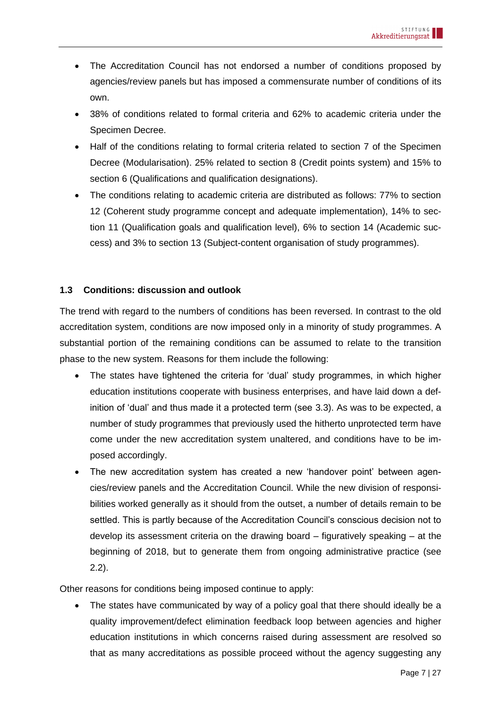- The Accreditation Council has not endorsed a number of conditions proposed by agencies/review panels but has imposed a commensurate number of conditions of its own.
- 38% of conditions related to formal criteria and 62% to academic criteria under the Specimen Decree.
- Half of the conditions relating to formal criteria related to section 7 of the Specimen Decree (Modularisation). 25% related to section 8 (Credit points system) and 15% to section 6 (Qualifications and qualification designations).
- The conditions relating to academic criteria are distributed as follows: 77% to section 12 (Coherent study programme concept and adequate implementation), 14% to section 11 (Qualification goals and qualification level), 6% to section 14 (Academic success) and 3% to section 13 (Subject-content organisation of study programmes).

# <span id="page-6-0"></span>**1.3 Conditions: discussion and outlook**

The trend with regard to the numbers of conditions has been reversed. In contrast to the old accreditation system, conditions are now imposed only in a minority of study programmes. A substantial portion of the remaining conditions can be assumed to relate to the transition phase to the new system. Reasons for them include the following:

- The states have tightened the criteria for 'dual' study programmes, in which higher education institutions cooperate with business enterprises, and have laid down a definition of 'dual' and thus made it a protected term (see [3.3\)](#page-22-0). As was to be expected, a number of study programmes that previously used the hitherto unprotected term have come under the new accreditation system unaltered, and conditions have to be imposed accordingly.
- The new accreditation system has created a new 'handover point' between agencies/review panels and the Accreditation Council. While the new division of responsibilities worked generally as it should from the outset, a number of details remain to be settled. This is partly because of the Accreditation Council's conscious decision not to develop its assessment criteria on the drawing board – figuratively speaking – at the beginning of 2018, but to generate them from ongoing administrative practice (see [2.2\)](#page-9-0).

Other reasons for conditions being imposed continue to apply:

• The states have communicated by way of a policy goal that there should ideally be a quality improvement/defect elimination feedback loop between agencies and higher education institutions in which concerns raised during assessment are resolved so that as many accreditations as possible proceed without the agency suggesting any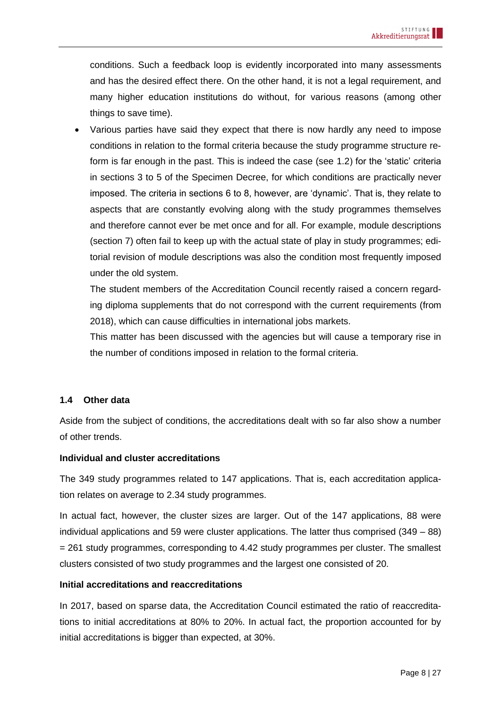conditions. Such a feedback loop is evidently incorporated into many assessments and has the desired effect there. On the other hand, it is not a legal requirement, and many higher education institutions do without, for various reasons (among other things to save time).

• Various parties have said they expect that there is now hardly any need to impose conditions in relation to the formal criteria because the study programme structure reform is far enough in the past. This is indeed the case (see [1.2\)](#page-5-0) for the 'static' criteria in sections 3 to 5 of the Specimen Decree, for which conditions are practically never imposed. The criteria in sections 6 to 8, however, are 'dynamic'. That is, they relate to aspects that are constantly evolving along with the study programmes themselves and therefore cannot ever be met once and for all. For example, module descriptions (section 7) often fail to keep up with the actual state of play in study programmes; editorial revision of module descriptions was also the condition most frequently imposed under the old system.

The student members of the Accreditation Council recently raised a concern regarding diploma supplements that do not correspond with the current requirements (from 2018), which can cause difficulties in international jobs markets.

This matter has been discussed with the agencies but will cause a temporary rise in the number of conditions imposed in relation to the formal criteria.

### <span id="page-7-0"></span>**1.4 Other data**

Aside from the subject of conditions, the accreditations dealt with so far also show a number of other trends.

### **Individual and cluster accreditations**

The 349 study programmes related to 147 applications. That is, each accreditation application relates on average to 2.34 study programmes.

In actual fact, however, the cluster sizes are larger. Out of the 147 applications, 88 were individual applications and 59 were cluster applications. The latter thus comprised (349 – 88) = 261 study programmes, corresponding to 4.42 study programmes per cluster. The smallest clusters consisted of two study programmes and the largest one consisted of 20.

### **Initial accreditations and reaccreditations**

In 2017, based on sparse data, the Accreditation Council estimated the ratio of reaccreditations to initial accreditations at 80% to 20%. In actual fact, the proportion accounted for by initial accreditations is bigger than expected, at 30%.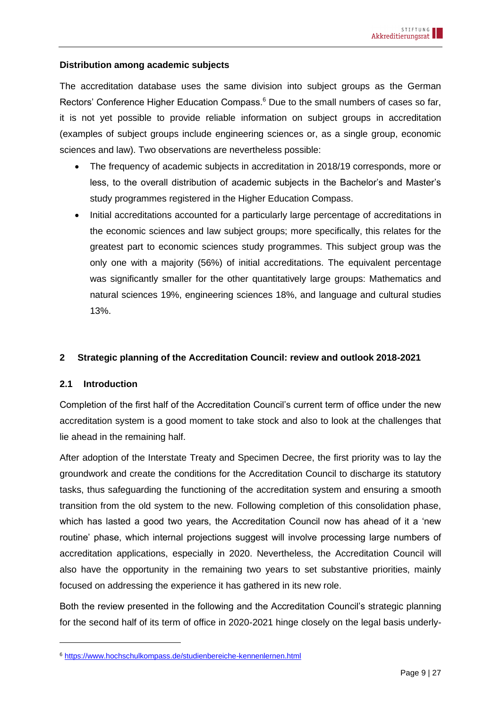#### **Distribution among academic subjects**

The accreditation database uses the same division into subject groups as the German Rectors' Conference Higher Education Compass.<sup>6</sup> Due to the small numbers of cases so far, it is not yet possible to provide reliable information on subject groups in accreditation (examples of subject groups include engineering sciences or, as a single group, economic sciences and law). Two observations are nevertheless possible:

- The frequency of academic subjects in accreditation in 2018/19 corresponds, more or less, to the overall distribution of academic subjects in the Bachelor's and Master's study programmes registered in the Higher Education Compass.
- Initial accreditations accounted for a particularly large percentage of accreditations in the economic sciences and law subject groups; more specifically, this relates for the greatest part to economic sciences study programmes. This subject group was the only one with a majority (56%) of initial accreditations. The equivalent percentage was significantly smaller for the other quantitatively large groups: Mathematics and natural sciences 19%, engineering sciences 18%, and language and cultural studies 13%.

#### <span id="page-8-0"></span>**2 Strategic planning of the Accreditation Council: review and outlook 2018-2021**

### <span id="page-8-1"></span>**2.1 Introduction**

Completion of the first half of the Accreditation Council's current term of office under the new accreditation system is a good moment to take stock and also to look at the challenges that lie ahead in the remaining half.

After adoption of the Interstate Treaty and Specimen Decree, the first priority was to lay the groundwork and create the conditions for the Accreditation Council to discharge its statutory tasks, thus safeguarding the functioning of the accreditation system and ensuring a smooth transition from the old system to the new. Following completion of this consolidation phase, which has lasted a good two years, the Accreditation Council now has ahead of it a 'new routine' phase, which internal projections suggest will involve processing large numbers of accreditation applications, especially in 2020. Nevertheless, the Accreditation Council will also have the opportunity in the remaining two years to set substantive priorities, mainly focused on addressing the experience it has gathered in its new role.

Both the review presented in the following and the Accreditation Council's strategic planning for the second half of its term of office in 2020-2021 hinge closely on the legal basis underly-

<sup>6</sup> <https://www.hochschulkompass.de/studienbereiche-kennenlernen.html>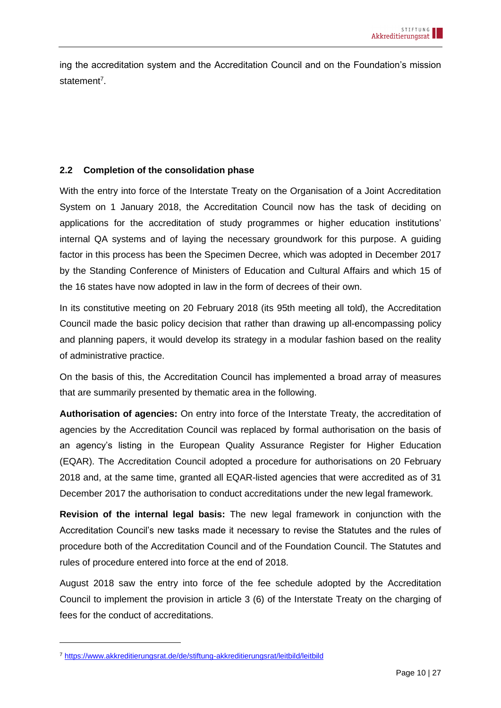ing the accreditation system and the Accreditation Council and on the Foundation's mission statement<sup>7</sup>.

# <span id="page-9-0"></span>**2.2 Completion of the consolidation phase**

With the entry into force of the Interstate Treaty on the Organisation of a Joint Accreditation System on 1 January 2018, the Accreditation Council now has the task of deciding on applications for the accreditation of study programmes or higher education institutions' internal QA systems and of laying the necessary groundwork for this purpose. A guiding factor in this process has been the Specimen Decree, which was adopted in December 2017 by the Standing Conference of Ministers of Education and Cultural Affairs and which 15 of the 16 states have now adopted in law in the form of decrees of their own.

In its constitutive meeting on 20 February 2018 (its 95th meeting all told), the Accreditation Council made the basic policy decision that rather than drawing up all-encompassing policy and planning papers, it would develop its strategy in a modular fashion based on the reality of administrative practice.

On the basis of this, the Accreditation Council has implemented a broad array of measures that are summarily presented by thematic area in the following.

**Authorisation of agencies:** On entry into force of the Interstate Treaty, the accreditation of agencies by the Accreditation Council was replaced by formal authorisation on the basis of an agency's listing in the European Quality Assurance Register for Higher Education (EQAR). The Accreditation Council adopted a procedure for authorisations on 20 February 2018 and, at the same time, granted all EQAR-listed agencies that were accredited as of 31 December 2017 the authorisation to conduct accreditations under the new legal framework.

**Revision of the internal legal basis:** The new legal framework in conjunction with the Accreditation Council's new tasks made it necessary to revise the Statutes and the rules of procedure both of the Accreditation Council and of the Foundation Council. The Statutes and rules of procedure entered into force at the end of 2018.

August 2018 saw the entry into force of the fee schedule adopted by the Accreditation Council to implement the provision in article 3 (6) of the Interstate Treaty on the charging of fees for the conduct of accreditations.

<sup>7</sup> <https://www.akkreditierungsrat.de/de/stiftung-akkreditierungsrat/leitbild/leitbild>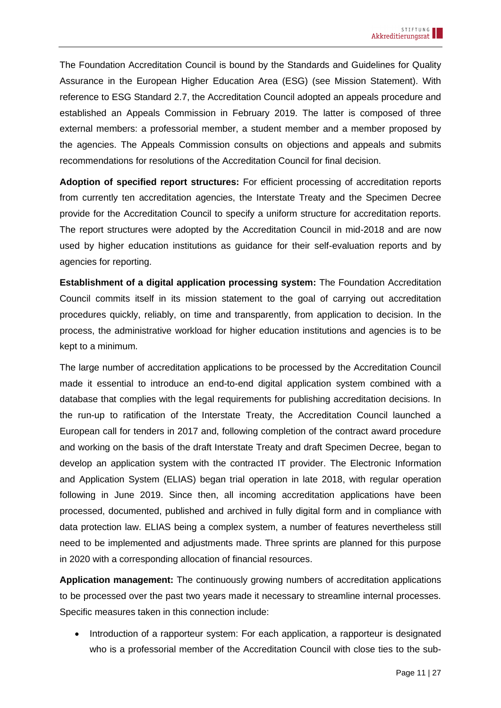The Foundation Accreditation Council is bound by the Standards and Guidelines for Quality Assurance in the European Higher Education Area (ESG) (see Mission Statement). With reference to ESG Standard 2.7, the Accreditation Council adopted an appeals procedure and established an Appeals Commission in February 2019. The latter is composed of three external members: a professorial member, a student member and a member proposed by the agencies. The Appeals Commission consults on objections and appeals and submits recommendations for resolutions of the Accreditation Council for final decision.

**Adoption of specified report structures:** For efficient processing of accreditation reports from currently ten accreditation agencies, the Interstate Treaty and the Specimen Decree provide for the Accreditation Council to specify a uniform structure for accreditation reports. The report structures were adopted by the Accreditation Council in mid-2018 and are now used by higher education institutions as guidance for their self-evaluation reports and by agencies for reporting.

**Establishment of a digital application processing system:** The Foundation Accreditation Council commits itself in its mission statement to the goal of carrying out accreditation procedures quickly, reliably, on time and transparently, from application to decision. In the process, the administrative workload for higher education institutions and agencies is to be kept to a minimum.

The large number of accreditation applications to be processed by the Accreditation Council made it essential to introduce an end-to-end digital application system combined with a database that complies with the legal requirements for publishing accreditation decisions. In the run-up to ratification of the Interstate Treaty, the Accreditation Council launched a European call for tenders in 2017 and, following completion of the contract award procedure and working on the basis of the draft Interstate Treaty and draft Specimen Decree, began to develop an application system with the contracted IT provider. The Electronic Information and Application System (ELIAS) began trial operation in late 2018, with regular operation following in June 2019. Since then, all incoming accreditation applications have been processed, documented, published and archived in fully digital form and in compliance with data protection law. ELIAS being a complex system, a number of features nevertheless still need to be implemented and adjustments made. Three sprints are planned for this purpose in 2020 with a corresponding allocation of financial resources.

**Application management:** The continuously growing numbers of accreditation applications to be processed over the past two years made it necessary to streamline internal processes. Specific measures taken in this connection include:

• Introduction of a rapporteur system: For each application, a rapporteur is designated who is a professorial member of the Accreditation Council with close ties to the sub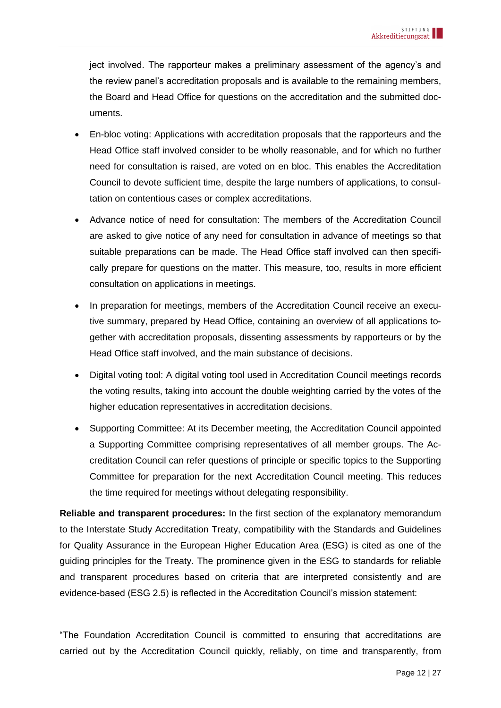ject involved. The rapporteur makes a preliminary assessment of the agency's and the review panel's accreditation proposals and is available to the remaining members, the Board and Head Office for questions on the accreditation and the submitted documents.

- En-bloc voting: Applications with accreditation proposals that the rapporteurs and the Head Office staff involved consider to be wholly reasonable, and for which no further need for consultation is raised, are voted on en bloc. This enables the Accreditation Council to devote sufficient time, despite the large numbers of applications, to consultation on contentious cases or complex accreditations.
- Advance notice of need for consultation: The members of the Accreditation Council are asked to give notice of any need for consultation in advance of meetings so that suitable preparations can be made. The Head Office staff involved can then specifically prepare for questions on the matter. This measure, too, results in more efficient consultation on applications in meetings.
- In preparation for meetings, members of the Accreditation Council receive an executive summary, prepared by Head Office, containing an overview of all applications together with accreditation proposals, dissenting assessments by rapporteurs or by the Head Office staff involved, and the main substance of decisions.
- Digital voting tool: A digital voting tool used in Accreditation Council meetings records the voting results, taking into account the double weighting carried by the votes of the higher education representatives in accreditation decisions.
- Supporting Committee: At its December meeting, the Accreditation Council appointed a Supporting Committee comprising representatives of all member groups. The Accreditation Council can refer questions of principle or specific topics to the Supporting Committee for preparation for the next Accreditation Council meeting. This reduces the time required for meetings without delegating responsibility.

**Reliable and transparent procedures:** In the first section of the explanatory memorandum to the Interstate Study Accreditation Treaty, compatibility with the Standards and Guidelines for Quality Assurance in the European Higher Education Area (ESG) is cited as one of the guiding principles for the Treaty. The prominence given in the ESG to standards for reliable and transparent procedures based on criteria that are interpreted consistently and are evidence-based (ESG 2.5) is reflected in the Accreditation Council's mission statement:

"The Foundation Accreditation Council is committed to ensuring that accreditations are carried out by the Accreditation Council quickly, reliably, on time and transparently, from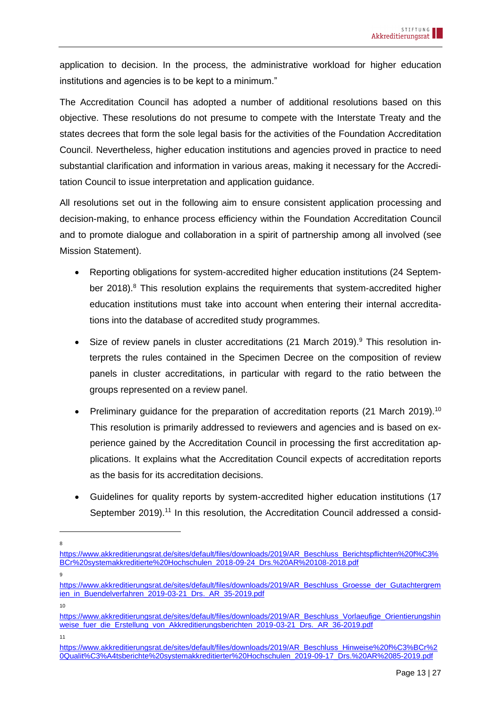application to decision. In the process, the administrative workload for higher education institutions and agencies is to be kept to a minimum."

The Accreditation Council has adopted a number of additional resolutions based on this objective. These resolutions do not presume to compete with the Interstate Treaty and the states decrees that form the sole legal basis for the activities of the Foundation Accreditation Council. Nevertheless, higher education institutions and agencies proved in practice to need substantial clarification and information in various areas, making it necessary for the Accreditation Council to issue interpretation and application guidance.

All resolutions set out in the following aim to ensure consistent application processing and decision-making, to enhance process efficiency within the Foundation Accreditation Council and to promote dialogue and collaboration in a spirit of partnership among all involved (see Mission Statement).

- Reporting obligations for system-accredited higher education institutions (24 September 2018). $8$  This resolution explains the requirements that system-accredited higher education institutions must take into account when entering their internal accreditations into the database of accredited study programmes.
- Size of review panels in cluster accreditations (21 March 2019).<sup>9</sup> This resolution interprets the rules contained in the Specimen Decree on the composition of review panels in cluster accreditations, in particular with regard to the ratio between the groups represented on a review panel.
- Preliminary quidance for the preparation of accreditation reports  $(21 \text{ March } 2019)^{10}$ This resolution is primarily addressed to reviewers and agencies and is based on experience gained by the Accreditation Council in processing the first accreditation applications. It explains what the Accreditation Council expects of accreditation reports as the basis for its accreditation decisions.
- Guidelines for quality reports by system-accredited higher education institutions (17 September 2019).<sup>11</sup> In this resolution, the Accreditation Council addressed a consid-

9

11

<sup>8</sup>

[https://www.akkreditierungsrat.de/sites/default/files/downloads/2019/AR\\_Beschluss\\_Berichtspflichten%20f%C3%](https://www.akkreditierungsrat.de/sites/default/files/downloads/2019/AR_Beschluss_Berichtspflichten%20f%C3%BCr%20systemakkreditierte%20Hochschulen_2018-09-24_Drs.%20AR%20108-2018.pdf) [BCr%20systemakkreditierte%20Hochschulen\\_2018-09-24\\_Drs.%20AR%20108-2018.pdf](https://www.akkreditierungsrat.de/sites/default/files/downloads/2019/AR_Beschluss_Berichtspflichten%20f%C3%BCr%20systemakkreditierte%20Hochschulen_2018-09-24_Drs.%20AR%20108-2018.pdf)

[https://www.akkreditierungsrat.de/sites/default/files/downloads/2019/AR\\_Beschluss\\_Groesse\\_der\\_Gutachtergrem](https://www.akkreditierungsrat.de/sites/default/files/downloads/2019/AR_Beschluss_Groesse_der_Gutachtergremien_in_Buendelverfahren_2019-03-21_Drs._AR_35-2019.pdf) [ien\\_in\\_Buendelverfahren\\_2019-03-21\\_Drs.\\_AR\\_35-2019.pdf](https://www.akkreditierungsrat.de/sites/default/files/downloads/2019/AR_Beschluss_Groesse_der_Gutachtergremien_in_Buendelverfahren_2019-03-21_Drs._AR_35-2019.pdf) 10

[https://www.akkreditierungsrat.de/sites/default/files/downloads/2019/AR\\_Beschluss\\_Vorlaeufige\\_Orientierungshin](https://www.akkreditierungsrat.de/sites/default/files/downloads/2019/AR_Beschluss_Vorlaeufige_Orientierungshinweise_fuer_die_Erstellung_von_Akkreditierungsberichten_2019-03-21_Drs._AR_36-2019.pdf) weise fuer die Erstellung von Akkreditierungsberichten 2019-03-21 Drs. AR 36-2019.pdf

[https://www.akkreditierungsrat.de/sites/default/files/downloads/2019/AR\\_Beschluss\\_Hinweise%20f%C3%BCr%2](https://www.akkreditierungsrat.de/sites/default/files/downloads/2019/AR_Beschluss_Hinweise%20f%C3%BCr%20Qualit%C3%A4tsberichte%20systemakkreditierter%20Hochschulen_2019-09-17_Drs.%20AR%2085-2019.pdf) [0Qualit%C3%A4tsberichte%20systemakkreditierter%20Hochschulen\\_2019-09-17\\_Drs.%20AR%2085-2019.pdf](https://www.akkreditierungsrat.de/sites/default/files/downloads/2019/AR_Beschluss_Hinweise%20f%C3%BCr%20Qualit%C3%A4tsberichte%20systemakkreditierter%20Hochschulen_2019-09-17_Drs.%20AR%2085-2019.pdf)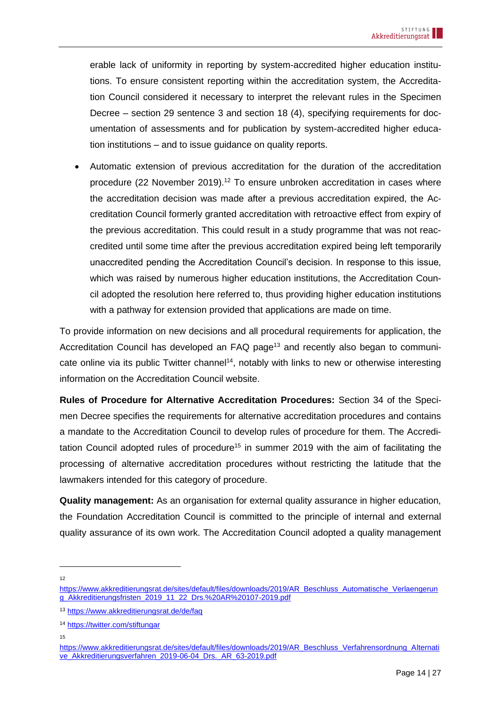erable lack of uniformity in reporting by system-accredited higher education institutions. To ensure consistent reporting within the accreditation system, the Accreditation Council considered it necessary to interpret the relevant rules in the Specimen Decree – section 29 sentence 3 and section 18 (4), specifying requirements for documentation of assessments and for publication by system-accredited higher education institutions – and to issue guidance on quality reports.

• Automatic extension of previous accreditation for the duration of the accreditation procedure (22 November 2019).<sup>12</sup> To ensure unbroken accreditation in cases where the accreditation decision was made after a previous accreditation expired, the Accreditation Council formerly granted accreditation with retroactive effect from expiry of the previous accreditation. This could result in a study programme that was not reaccredited until some time after the previous accreditation expired being left temporarily unaccredited pending the Accreditation Council's decision. In response to this issue, which was raised by numerous higher education institutions, the Accreditation Council adopted the resolution here referred to, thus providing higher education institutions with a pathway for extension provided that applications are made on time.

To provide information on new decisions and all procedural requirements for application, the Accreditation Council has developed an FAQ page<sup>13</sup> and recently also began to communicate online via its public Twitter channel<sup>14</sup>, notably with links to new or otherwise interesting information on the Accreditation Council website.

**Rules of Procedure for Alternative Accreditation Procedures:** Section 34 of the Specimen Decree specifies the requirements for alternative accreditation procedures and contains a mandate to the Accreditation Council to develop rules of procedure for them. The Accreditation Council adopted rules of procedure<sup>15</sup> in summer 2019 with the aim of facilitating the processing of alternative accreditation procedures without restricting the latitude that the lawmakers intended for this category of procedure.

**Quality management:** As an organisation for external quality assurance in higher education, the Foundation Accreditation Council is committed to the principle of internal and external quality assurance of its own work. The Accreditation Council adopted a quality management

12

[https://www.akkreditierungsrat.de/sites/default/files/downloads/2019/AR\\_Beschluss\\_Automatische\\_Verlaengerun](https://www.akkreditierungsrat.de/sites/default/files/downloads/2019/AR_Beschluss_Automatische_Verlaengerung_Akkreditierungsfristen_2019_11_22_Drs.%20AR%20107-2019.pdf) [g\\_Akkreditierungsfristen\\_2019\\_11\\_22\\_Drs.%20AR%20107-2019.pdf](https://www.akkreditierungsrat.de/sites/default/files/downloads/2019/AR_Beschluss_Automatische_Verlaengerung_Akkreditierungsfristen_2019_11_22_Drs.%20AR%20107-2019.pdf)

<sup>13</sup> <https://www.akkreditierungsrat.de/de/faq>

<sup>14</sup> <https://twitter.com/stiftungar>

<sup>15</sup>

[https://www.akkreditierungsrat.de/sites/default/files/downloads/2019/AR\\_Beschluss\\_Verfahrensordnung\\_Alternati](https://www.akkreditierungsrat.de/sites/default/files/downloads/2019/AR_Beschluss_Verfahrensordnung_Alternative_Akkreditierungsverfahren_2019-06-04_Drs._AR_63-2019.pdf) [ve\\_Akkreditierungsverfahren\\_2019-06-04\\_Drs.\\_AR\\_63-2019.pdf](https://www.akkreditierungsrat.de/sites/default/files/downloads/2019/AR_Beschluss_Verfahrensordnung_Alternative_Akkreditierungsverfahren_2019-06-04_Drs._AR_63-2019.pdf)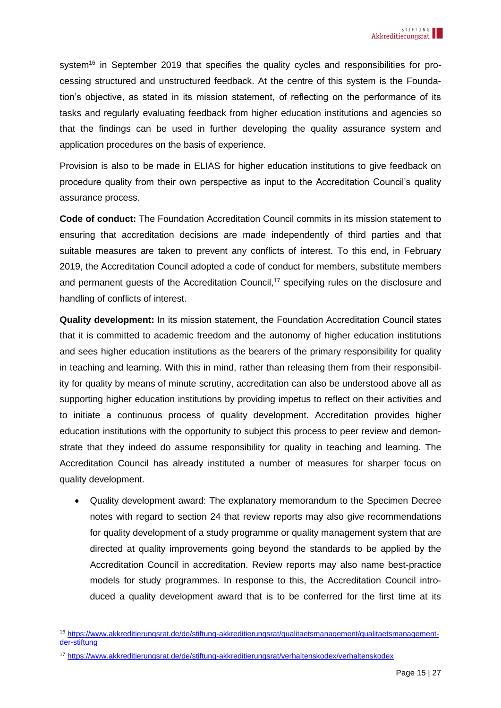system<sup>16</sup> in September 2019 that specifies the quality cycles and responsibilities for processing structured and unstructured feedback. At the centre of this system is the Foundation's objective, as stated in its mission statement, of reflecting on the performance of its tasks and regularly evaluating feedback from higher education institutions and agencies so that the findings can be used in further developing the quality assurance system and application procedures on the basis of experience.

Provision is also to be made in ELIAS for higher education institutions to give feedback on procedure quality from their own perspective as input to the Accreditation Council's quality assurance process.

**Code of conduct:** The Foundation Accreditation Council commits in its mission statement to ensuring that accreditation decisions are made independently of third parties and that suitable measures are taken to prevent any conflicts of interest. To this end, in February 2019, the Accreditation Council adopted a code of conduct for members, substitute members and permanent quests of the Accreditation Council,<sup>17</sup> specifying rules on the disclosure and handling of conflicts of interest.

**Quality development:** In its mission statement, the Foundation Accreditation Council states that it is committed to academic freedom and the autonomy of higher education institutions and sees higher education institutions as the bearers of the primary responsibility for quality in teaching and learning. With this in mind, rather than releasing them from their responsibility for quality by means of minute scrutiny, accreditation can also be understood above all as supporting higher education institutions by providing impetus to reflect on their activities and to initiate a continuous process of quality development. Accreditation provides higher education institutions with the opportunity to subject this process to peer review and demonstrate that they indeed do assume responsibility for quality in teaching and learning. The Accreditation Council has already instituted a number of measures for sharper focus on quality development.

• Quality development award: The explanatory memorandum to the Specimen Decree notes with regard to section 24 that review reports may also give recommendations for quality development of a study programme or quality management system that are directed at quality improvements going beyond the standards to be applied by the Accreditation Council in accreditation. Review reports may also name best-practice models for study programmes. In response to this, the Accreditation Council introduced a quality development award that is to be conferred for the first time at its

<sup>16</sup> [https://www.akkreditierungsrat.de/de/stiftung-akkreditierungsrat/qualitaetsmanagement/qualitaetsmanagement](https://www.akkreditierungsrat.de/de/stiftung-akkreditierungsrat/qualitaetsmanagement/qualitaetsmanagement-der-stiftung)[der-stiftung](https://www.akkreditierungsrat.de/de/stiftung-akkreditierungsrat/qualitaetsmanagement/qualitaetsmanagement-der-stiftung)

<sup>17</sup> <https://www.akkreditierungsrat.de/de/stiftung-akkreditierungsrat/verhaltenskodex/verhaltenskodex>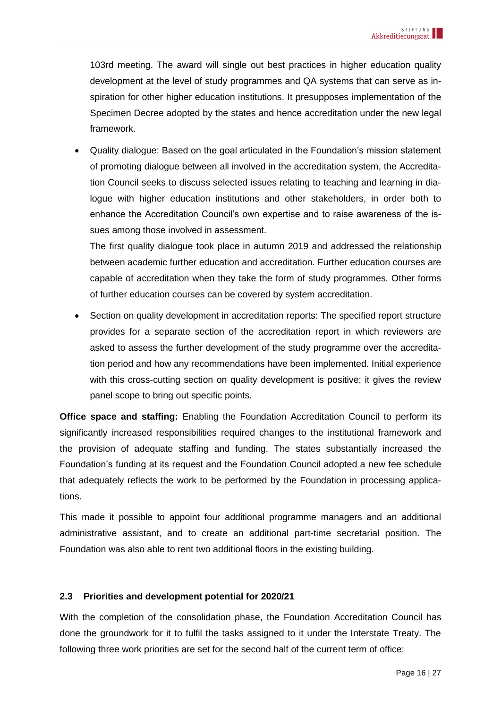103rd meeting. The award will single out best practices in higher education quality development at the level of study programmes and QA systems that can serve as inspiration for other higher education institutions. It presupposes implementation of the Specimen Decree adopted by the states and hence accreditation under the new legal framework.

• Quality dialogue: Based on the goal articulated in the Foundation's mission statement of promoting dialogue between all involved in the accreditation system, the Accreditation Council seeks to discuss selected issues relating to teaching and learning in dialogue with higher education institutions and other stakeholders, in order both to enhance the Accreditation Council's own expertise and to raise awareness of the issues among those involved in assessment.

The first quality dialogue took place in autumn 2019 and addressed the relationship between academic further education and accreditation. Further education courses are capable of accreditation when they take the form of study programmes. Other forms of further education courses can be covered by system accreditation.

• Section on quality development in accreditation reports: The specified report structure provides for a separate section of the accreditation report in which reviewers are asked to assess the further development of the study programme over the accreditation period and how any recommendations have been implemented. Initial experience with this cross-cutting section on quality development is positive; it gives the review panel scope to bring out specific points.

**Office space and staffing:** Enabling the Foundation Accreditation Council to perform its significantly increased responsibilities required changes to the institutional framework and the provision of adequate staffing and funding. The states substantially increased the Foundation's funding at its request and the Foundation Council adopted a new fee schedule that adequately reflects the work to be performed by the Foundation in processing applications.

This made it possible to appoint four additional programme managers and an additional administrative assistant, and to create an additional part-time secretarial position. The Foundation was also able to rent two additional floors in the existing building.

### <span id="page-15-0"></span>**2.3 Priorities and development potential for 2020/21**

With the completion of the consolidation phase, the Foundation Accreditation Council has done the groundwork for it to fulfil the tasks assigned to it under the Interstate Treaty. The following three work priorities are set for the second half of the current term of office: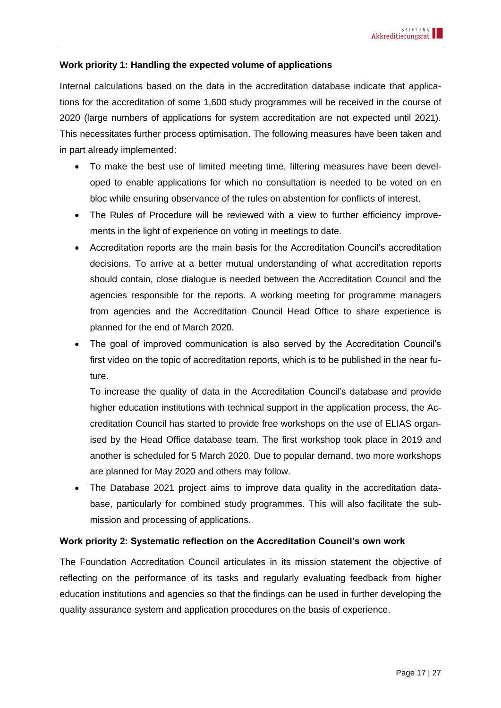### **Work priority 1: Handling the expected volume of applications**

Internal calculations based on the data in the accreditation database indicate that applications for the accreditation of some 1,600 study programmes will be received in the course of 2020 (large numbers of applications for system accreditation are not expected until 2021). This necessitates further process optimisation. The following measures have been taken and in part already implemented:

- To make the best use of limited meeting time, filtering measures have been developed to enable applications for which no consultation is needed to be voted on en bloc while ensuring observance of the rules on abstention for conflicts of interest.
- The Rules of Procedure will be reviewed with a view to further efficiency improvements in the light of experience on voting in meetings to date.
- Accreditation reports are the main basis for the Accreditation Council's accreditation decisions. To arrive at a better mutual understanding of what accreditation reports should contain, close dialogue is needed between the Accreditation Council and the agencies responsible for the reports. A working meeting for programme managers from agencies and the Accreditation Council Head Office to share experience is planned for the end of March 2020.
- The goal of improved communication is also served by the Accreditation Council's first video on the topic of accreditation reports, which is to be published in the near future.

To increase the quality of data in the Accreditation Council's database and provide higher education institutions with technical support in the application process, the Accreditation Council has started to provide free workshops on the use of ELIAS organised by the Head Office database team. The first workshop took place in 2019 and another is scheduled for 5 March 2020. Due to popular demand, two more workshops are planned for May 2020 and others may follow.

• The Database 2021 project aims to improve data quality in the accreditation database, particularly for combined study programmes. This will also facilitate the submission and processing of applications.

### **Work priority 2: Systematic reflection on the Accreditation Council's own work**

The Foundation Accreditation Council articulates in its mission statement the objective of reflecting on the performance of its tasks and regularly evaluating feedback from higher education institutions and agencies so that the findings can be used in further developing the quality assurance system and application procedures on the basis of experience.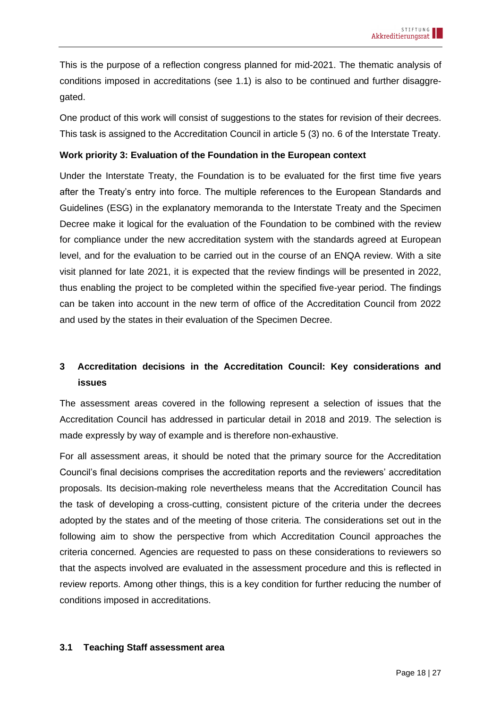This is the purpose of a reflection congress planned for mid-2021. The thematic analysis of conditions imposed in accreditations (see [1.1\)](#page-3-1) is also to be continued and further disaggregated.

One product of this work will consist of suggestions to the states for revision of their decrees. This task is assigned to the Accreditation Council in article 5 (3) no. 6 of the Interstate Treaty.

### **Work priority 3: Evaluation of the Foundation in the European context**

Under the Interstate Treaty, the Foundation is to be evaluated for the first time five years after the Treaty's entry into force. The multiple references to the European Standards and Guidelines (ESG) in the explanatory memoranda to the Interstate Treaty and the Specimen Decree make it logical for the evaluation of the Foundation to be combined with the review for compliance under the new accreditation system with the standards agreed at European level, and for the evaluation to be carried out in the course of an ENQA review. With a site visit planned for late 2021, it is expected that the review findings will be presented in 2022, thus enabling the project to be completed within the specified five-year period. The findings can be taken into account in the new term of office of the Accreditation Council from 2022 and used by the states in their evaluation of the Specimen Decree.

# <span id="page-17-0"></span>**3 Accreditation decisions in the Accreditation Council: Key considerations and issues**

The assessment areas covered in the following represent a selection of issues that the Accreditation Council has addressed in particular detail in 2018 and 2019. The selection is made expressly by way of example and is therefore non-exhaustive.

For all assessment areas, it should be noted that the primary source for the Accreditation Council's final decisions comprises the accreditation reports and the reviewers' accreditation proposals. Its decision-making role nevertheless means that the Accreditation Council has the task of developing a cross-cutting, consistent picture of the criteria under the decrees adopted by the states and of the meeting of those criteria. The considerations set out in the following aim to show the perspective from which Accreditation Council approaches the criteria concerned. Agencies are requested to pass on these considerations to reviewers so that the aspects involved are evaluated in the assessment procedure and this is reflected in review reports. Among other things, this is a key condition for further reducing the number of conditions imposed in accreditations.

### <span id="page-17-1"></span>**3.1 Teaching Staff assessment area**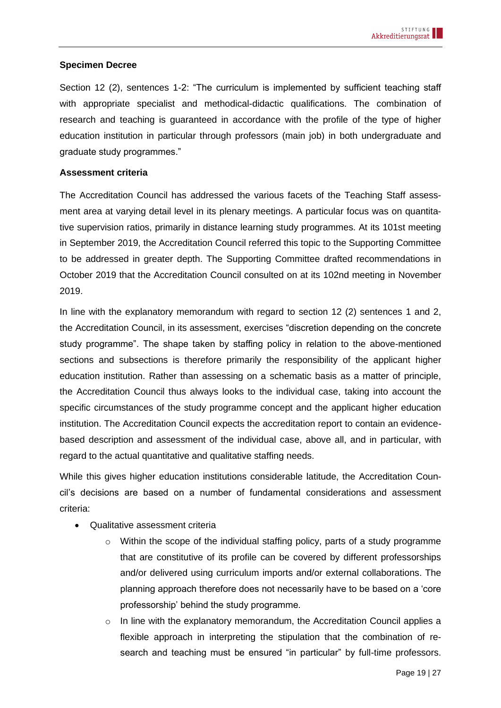### **Specimen Decree**

Section 12 (2), sentences 1-2: "The curriculum is implemented by sufficient teaching staff with appropriate specialist and methodical-didactic qualifications. The combination of research and teaching is guaranteed in accordance with the profile of the type of higher education institution in particular through professors (main job) in both undergraduate and graduate study programmes."

### **Assessment criteria**

The Accreditation Council has addressed the various facets of the Teaching Staff assessment area at varying detail level in its plenary meetings. A particular focus was on quantitative supervision ratios, primarily in distance learning study programmes. At its 101st meeting in September 2019, the Accreditation Council referred this topic to the Supporting Committee to be addressed in greater depth. The Supporting Committee drafted recommendations in October 2019 that the Accreditation Council consulted on at its 102nd meeting in November 2019.

In line with the explanatory memorandum with regard to section 12 (2) sentences 1 and 2, the Accreditation Council, in its assessment, exercises "discretion depending on the concrete study programme". The shape taken by staffing policy in relation to the above-mentioned sections and subsections is therefore primarily the responsibility of the applicant higher education institution. Rather than assessing on a schematic basis as a matter of principle, the Accreditation Council thus always looks to the individual case, taking into account the specific circumstances of the study programme concept and the applicant higher education institution. The Accreditation Council expects the accreditation report to contain an evidencebased description and assessment of the individual case, above all, and in particular, with regard to the actual quantitative and qualitative staffing needs.

While this gives higher education institutions considerable latitude, the Accreditation Council's decisions are based on a number of fundamental considerations and assessment criteria:

- Qualitative assessment criteria
	- o Within the scope of the individual staffing policy, parts of a study programme that are constitutive of its profile can be covered by different professorships and/or delivered using curriculum imports and/or external collaborations. The planning approach therefore does not necessarily have to be based on a 'core professorship' behind the study programme.
	- $\circ$  In line with the explanatory memorandum, the Accreditation Council applies a flexible approach in interpreting the stipulation that the combination of research and teaching must be ensured "in particular" by full-time professors.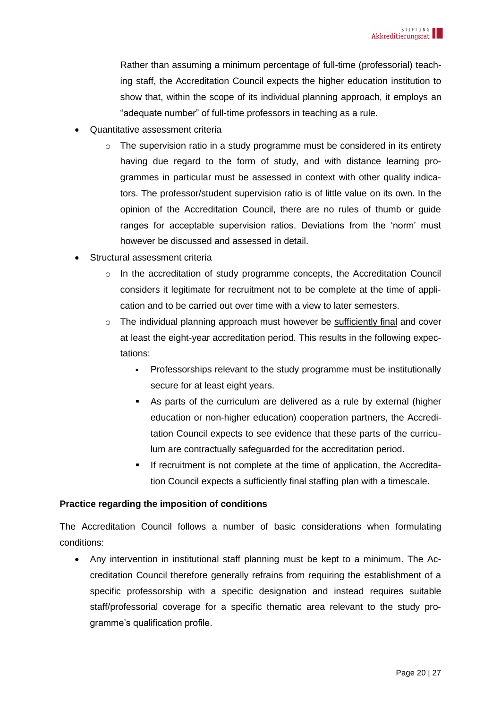Rather than assuming a minimum percentage of full-time (professorial) teaching staff, the Accreditation Council expects the higher education institution to show that, within the scope of its individual planning approach, it employs an "adequate number" of full-time professors in teaching as a rule.

- Quantitative assessment criteria
	- $\circ$  The supervision ratio in a study programme must be considered in its entirety having due regard to the form of study, and with distance learning programmes in particular must be assessed in context with other quality indicators. The professor/student supervision ratio is of little value on its own. In the opinion of the Accreditation Council, there are no rules of thumb or guide ranges for acceptable supervision ratios. Deviations from the 'norm' must however be discussed and assessed in detail.
- Structural assessment criteria
	- o In the accreditation of study programme concepts, the Accreditation Council considers it legitimate for recruitment not to be complete at the time of application and to be carried out over time with a view to later semesters.
	- o The individual planning approach must however be sufficiently final and cover at least the eight-year accreditation period. This results in the following expectations:
		- Professorships relevant to the study programme must be institutionally secure for at least eight years.
		- As parts of the curriculum are delivered as a rule by external (higher education or non-higher education) cooperation partners, the Accreditation Council expects to see evidence that these parts of the curriculum are contractually safeguarded for the accreditation period.
		- If recruitment is not complete at the time of application, the Accreditation Council expects a sufficiently final staffing plan with a timescale.

### **Practice regarding the imposition of conditions**

The Accreditation Council follows a number of basic considerations when formulating conditions:

• Any intervention in institutional staff planning must be kept to a minimum. The Accreditation Council therefore generally refrains from requiring the establishment of a specific professorship with a specific designation and instead requires suitable staff/professorial coverage for a specific thematic area relevant to the study programme's qualification profile.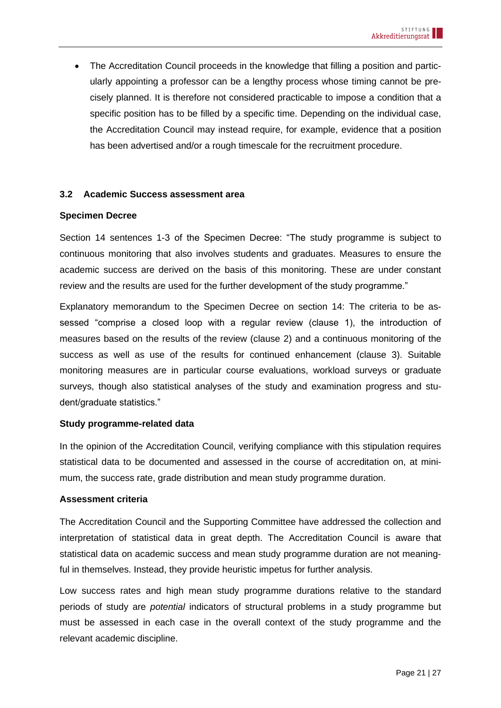• The Accreditation Council proceeds in the knowledge that filling a position and particularly appointing a professor can be a lengthy process whose timing cannot be precisely planned. It is therefore not considered practicable to impose a condition that a specific position has to be filled by a specific time. Depending on the individual case, the Accreditation Council may instead require, for example, evidence that a position has been advertised and/or a rough timescale for the recruitment procedure.

### <span id="page-20-0"></span>**3.2 Academic Success assessment area**

#### **Specimen Decree**

Section 14 sentences 1-3 of the Specimen Decree: "The study programme is subject to continuous monitoring that also involves students and graduates. Measures to ensure the academic success are derived on the basis of this monitoring. These are under constant review and the results are used for the further development of the study programme."

Explanatory memorandum to the Specimen Decree on section 14: The criteria to be assessed "comprise a closed loop with a regular review (clause 1), the introduction of measures based on the results of the review (clause 2) and a continuous monitoring of the success as well as use of the results for continued enhancement (clause 3). Suitable monitoring measures are in particular course evaluations, workload surveys or graduate surveys, though also statistical analyses of the study and examination progress and student/graduate statistics."

### **Study programme-related data**

In the opinion of the Accreditation Council, verifying compliance with this stipulation requires statistical data to be documented and assessed in the course of accreditation on, at minimum, the success rate, grade distribution and mean study programme duration.

#### **Assessment criteria**

The Accreditation Council and the Supporting Committee have addressed the collection and interpretation of statistical data in great depth. The Accreditation Council is aware that statistical data on academic success and mean study programme duration are not meaningful in themselves. Instead, they provide heuristic impetus for further analysis.

Low success rates and high mean study programme durations relative to the standard periods of study are *potential* indicators of structural problems in a study programme but must be assessed in each case in the overall context of the study programme and the relevant academic discipline.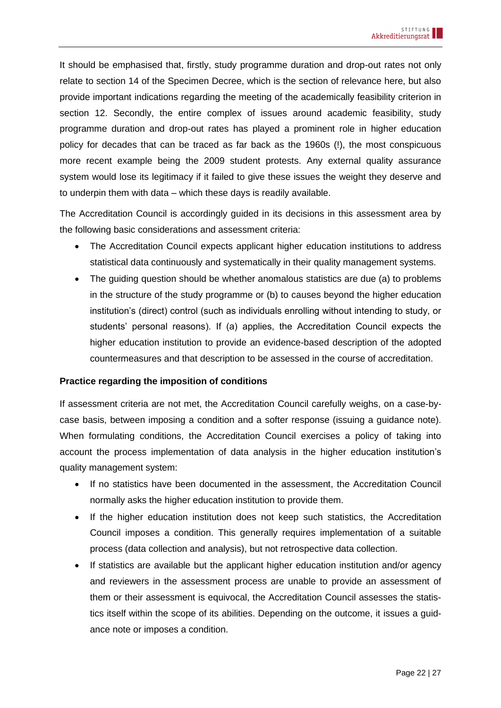It should be emphasised that, firstly, study programme duration and drop-out rates not only relate to section 14 of the Specimen Decree, which is the section of relevance here, but also provide important indications regarding the meeting of the academically feasibility criterion in section 12. Secondly, the entire complex of issues around academic feasibility, study programme duration and drop-out rates has played a prominent role in higher education policy for decades that can be traced as far back as the 1960s (!), the most conspicuous more recent example being the 2009 student protests. Any external quality assurance system would lose its legitimacy if it failed to give these issues the weight they deserve and to underpin them with data – which these days is readily available.

The Accreditation Council is accordingly guided in its decisions in this assessment area by the following basic considerations and assessment criteria:

- The Accreditation Council expects applicant higher education institutions to address statistical data continuously and systematically in their quality management systems.
- The quiding question should be whether anomalous statistics are due (a) to problems in the structure of the study programme or (b) to causes beyond the higher education institution's (direct) control (such as individuals enrolling without intending to study, or students' personal reasons). If (a) applies, the Accreditation Council expects the higher education institution to provide an evidence-based description of the adopted countermeasures and that description to be assessed in the course of accreditation.

### **Practice regarding the imposition of conditions**

If assessment criteria are not met, the Accreditation Council carefully weighs, on a case-bycase basis, between imposing a condition and a softer response (issuing a guidance note). When formulating conditions, the Accreditation Council exercises a policy of taking into account the process implementation of data analysis in the higher education institution's quality management system:

- If no statistics have been documented in the assessment, the Accreditation Council normally asks the higher education institution to provide them.
- If the higher education institution does not keep such statistics, the Accreditation Council imposes a condition. This generally requires implementation of a suitable process (data collection and analysis), but not retrospective data collection.
- If statistics are available but the applicant higher education institution and/or agency and reviewers in the assessment process are unable to provide an assessment of them or their assessment is equivocal, the Accreditation Council assesses the statistics itself within the scope of its abilities. Depending on the outcome, it issues a guidance note or imposes a condition.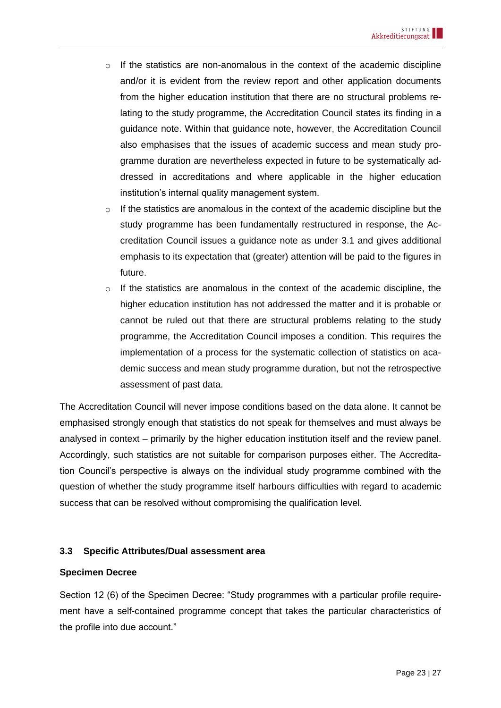- o If the statistics are non-anomalous in the context of the academic discipline and/or it is evident from the review report and other application documents from the higher education institution that there are no structural problems relating to the study programme, the Accreditation Council states its finding in a guidance note. Within that guidance note, however, the Accreditation Council also emphasises that the issues of academic success and mean study programme duration are nevertheless expected in future to be systematically addressed in accreditations and where applicable in the higher education institution's internal quality management system.
- o If the statistics are anomalous in the context of the academic discipline but the study programme has been fundamentally restructured in response, the Accreditation Council issues a guidance note as under 3.1 and gives additional emphasis to its expectation that (greater) attention will be paid to the figures in future.
- $\circ$  If the statistics are anomalous in the context of the academic discipline, the higher education institution has not addressed the matter and it is probable or cannot be ruled out that there are structural problems relating to the study programme, the Accreditation Council imposes a condition. This requires the implementation of a process for the systematic collection of statistics on academic success and mean study programme duration, but not the retrospective assessment of past data.

The Accreditation Council will never impose conditions based on the data alone. It cannot be emphasised strongly enough that statistics do not speak for themselves and must always be analysed in context – primarily by the higher education institution itself and the review panel. Accordingly, such statistics are not suitable for comparison purposes either. The Accreditation Council's perspective is always on the individual study programme combined with the question of whether the study programme itself harbours difficulties with regard to academic success that can be resolved without compromising the qualification level.

### <span id="page-22-0"></span>**3.3 Specific Attributes/Dual assessment area**

#### **Specimen Decree**

Section 12 (6) of the Specimen Decree: "Study programmes with a particular profile requirement have a self-contained programme concept that takes the particular characteristics of the profile into due account."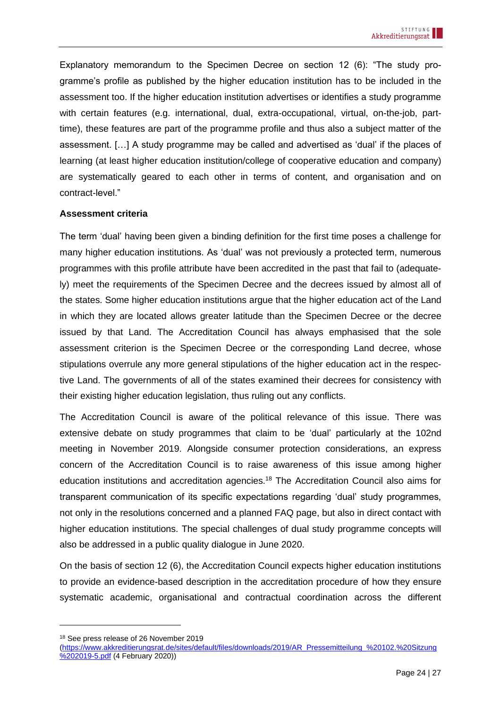Explanatory memorandum to the Specimen Decree on section 12 (6): "The study programme's profile as published by the higher education institution has to be included in the assessment too. If the higher education institution advertises or identifies a study programme with certain features (e.g. international, dual, extra-occupational, virtual, on-the-job, parttime), these features are part of the programme profile and thus also a subject matter of the assessment. […] A study programme may be called and advertised as 'dual' if the places of learning (at least higher education institution/college of cooperative education and company) are systematically geared to each other in terms of content, and organisation and on contract-level."

### **Assessment criteria**

The term 'dual' having been given a binding definition for the first time poses a challenge for many higher education institutions. As 'dual' was not previously a protected term, numerous programmes with this profile attribute have been accredited in the past that fail to (adequately) meet the requirements of the Specimen Decree and the decrees issued by almost all of the states. Some higher education institutions argue that the higher education act of the Land in which they are located allows greater latitude than the Specimen Decree or the decree issued by that Land. The Accreditation Council has always emphasised that the sole assessment criterion is the Specimen Decree or the corresponding Land decree, whose stipulations overrule any more general stipulations of the higher education act in the respective Land. The governments of all of the states examined their decrees for consistency with their existing higher education legislation, thus ruling out any conflicts.

The Accreditation Council is aware of the political relevance of this issue. There was extensive debate on study programmes that claim to be 'dual' particularly at the 102nd meeting in November 2019. Alongside consumer protection considerations, an express concern of the Accreditation Council is to raise awareness of this issue among higher education institutions and accreditation agencies.<sup>18</sup> The Accreditation Council also aims for transparent communication of its specific expectations regarding 'dual' study programmes, not only in the resolutions concerned and a planned FAQ page, but also in direct contact with higher education institutions. The special challenges of dual study programme concepts will also be addressed in a public quality dialogue in June 2020.

On the basis of section 12 (6), the Accreditation Council expects higher education institutions to provide an evidence-based description in the accreditation procedure of how they ensure systematic academic, organisational and contractual coordination across the different

<sup>18</sup> See press release of 26 November 2019

[<sup>\(</sup>https://www.akkreditierungsrat.de/sites/default/files/downloads/2019/AR\\_Pressemitteilung\\_%20102.%20Sitzung](https://www.akkreditierungsrat.de/sites/default/files/downloads/2019/AR_Pressemitteilung_%20102.%20Sitzung%202019-5.pdf) [%202019-5.pdf](https://www.akkreditierungsrat.de/sites/default/files/downloads/2019/AR_Pressemitteilung_%20102.%20Sitzung%202019-5.pdf) (4 February 2020))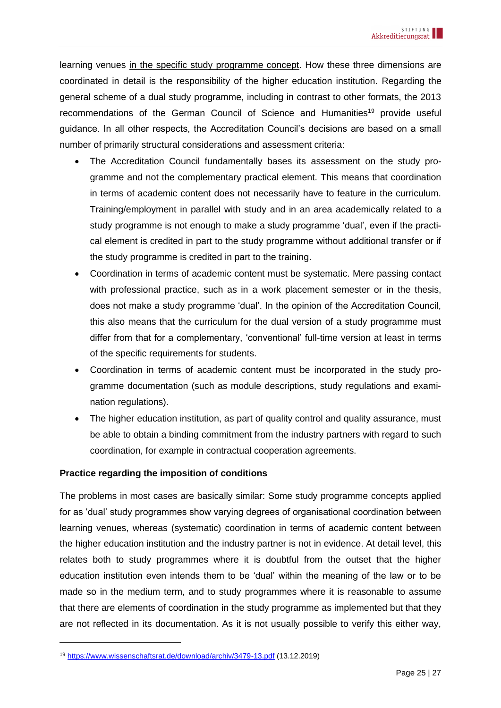learning venues in the specific study programme concept. How these three dimensions are coordinated in detail is the responsibility of the higher education institution. Regarding the general scheme of a dual study programme, including in contrast to other formats, the 2013 recommendations of the German Council of Science and Humanities<sup>19</sup> provide useful guidance. In all other respects, the Accreditation Council's decisions are based on a small number of primarily structural considerations and assessment criteria:

- The Accreditation Council fundamentally bases its assessment on the study programme and not the complementary practical element. This means that coordination in terms of academic content does not necessarily have to feature in the curriculum. Training/employment in parallel with study and in an area academically related to a study programme is not enough to make a study programme 'dual', even if the practical element is credited in part to the study programme without additional transfer or if the study programme is credited in part to the training.
- Coordination in terms of academic content must be systematic. Mere passing contact with professional practice, such as in a work placement semester or in the thesis, does not make a study programme 'dual'. In the opinion of the Accreditation Council, this also means that the curriculum for the dual version of a study programme must differ from that for a complementary, 'conventional' full-time version at least in terms of the specific requirements for students.
- Coordination in terms of academic content must be incorporated in the study programme documentation (such as module descriptions, study regulations and examination regulations).
- The higher education institution, as part of quality control and quality assurance, must be able to obtain a binding commitment from the industry partners with regard to such coordination, for example in contractual cooperation agreements.

### **Practice regarding the imposition of conditions**

The problems in most cases are basically similar: Some study programme concepts applied for as 'dual' study programmes show varying degrees of organisational coordination between learning venues, whereas (systematic) coordination in terms of academic content between the higher education institution and the industry partner is not in evidence. At detail level, this relates both to study programmes where it is doubtful from the outset that the higher education institution even intends them to be 'dual' within the meaning of the law or to be made so in the medium term, and to study programmes where it is reasonable to assume that there are elements of coordination in the study programme as implemented but that they are not reflected in its documentation. As it is not usually possible to verify this either way,

<sup>19</sup> [https://www.wissenschaftsrat.de/download/archiv/3479-13.pdf](https://www.wissenschaftsrat.de/download/archiv/3479-13.pdf;jsessionid=631942133397759551505DDE1E8C4925.delivery1-master?__blob=publicationFile&v=3) (13.12.2019)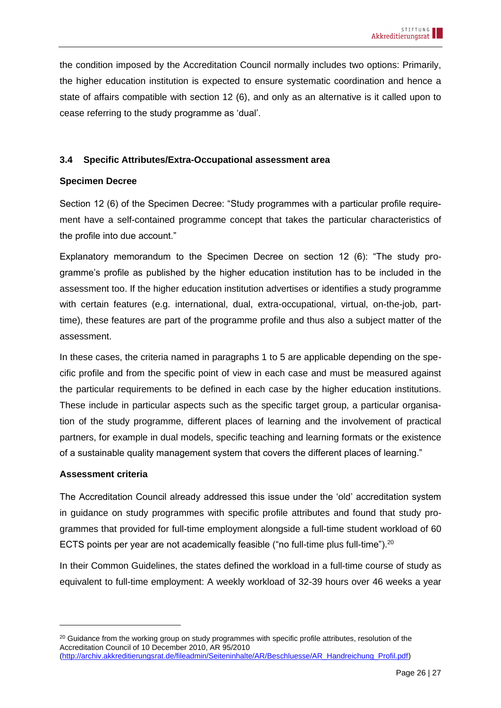the condition imposed by the Accreditation Council normally includes two options: Primarily, the higher education institution is expected to ensure systematic coordination and hence a state of affairs compatible with section 12 (6), and only as an alternative is it called upon to cease referring to the study programme as 'dual'.

#### <span id="page-25-0"></span>**3.4 Specific Attributes/Extra-Occupational assessment area**

### **Specimen Decree**

Section 12 (6) of the Specimen Decree: "Study programmes with a particular profile requirement have a self-contained programme concept that takes the particular characteristics of the profile into due account."

Explanatory memorandum to the Specimen Decree on section 12 (6): "The study programme's profile as published by the higher education institution has to be included in the assessment too. If the higher education institution advertises or identifies a study programme with certain features (e.g. international, dual, extra-occupational, virtual, on-the-job, parttime), these features are part of the programme profile and thus also a subject matter of the assessment.

In these cases, the criteria named in paragraphs 1 to 5 are applicable depending on the specific profile and from the specific point of view in each case and must be measured against the particular requirements to be defined in each case by the higher education institutions. These include in particular aspects such as the specific target group, a particular organisation of the study programme, different places of learning and the involvement of practical partners, for example in dual models, specific teaching and learning formats or the existence of a sustainable quality management system that covers the different places of learning."

### **Assessment criteria**

The Accreditation Council already addressed this issue under the 'old' accreditation system in guidance on study programmes with specific profile attributes and found that study programmes that provided for full-time employment alongside a full-time student workload of 60 ECTS points per year are not academically feasible ("no full-time plus full-time").<sup>20</sup>

In their Common Guidelines, the states defined the workload in a full-time course of study as equivalent to full-time employment: A weekly workload of 32-39 hours over 46 weeks a year

<sup>&</sup>lt;sup>20</sup> Guidance from the working group on study programmes with specific profile attributes, resolution of the Accreditation Council of 10 December 2010, AR 95/2010

[<sup>\(</sup>http://archiv.akkreditierungsrat.de/fileadmin/Seiteninhalte/AR/Beschluesse/AR\\_Handreichung\\_Profil.pdf\)](http://archiv.akkreditierungsrat.de/fileadmin/Seiteninhalte/AR/Beschluesse/AR_Handreichung_Profil.pdf)